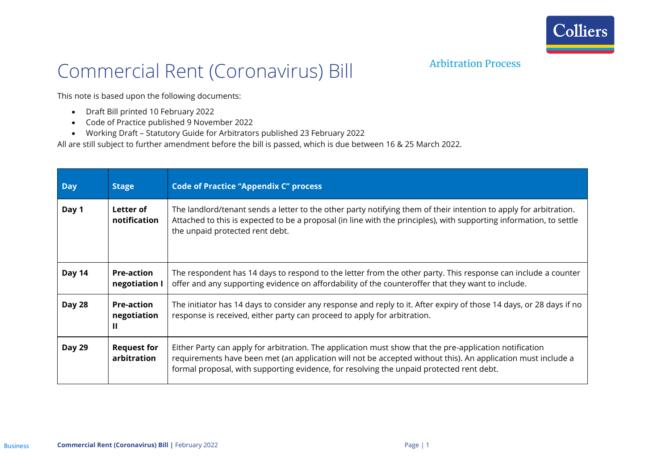

## Arbitration Process

## Commercial Rent (Coronavirus) Bill

This note is based upon the following documents:

- Draft Bill printed 10 February 2022
- Code of Practice published 9 November 2022
- Working Draft Statutory Guide for Arbitrators published 23 February 2022

All are still subject to further amendment before the bill is passed, which is due between 16 & 25 March 2022.

| <b>Day</b>    | <b>Stage</b>                          | <b>Code of Practice "Appendix C" process</b>                                                                                                                                                                                                                                                                        |
|---------------|---------------------------------------|---------------------------------------------------------------------------------------------------------------------------------------------------------------------------------------------------------------------------------------------------------------------------------------------------------------------|
| Day 1         | Letter of<br>notification             | The landlord/tenant sends a letter to the other party notifying them of their intention to apply for arbitration.<br>Attached to this is expected to be a proposal (in line with the principles), with supporting information, to settle<br>the unpaid protected rent debt.                                         |
| Day 14        | <b>Pre-action</b><br>negotiation I    | The respondent has 14 days to respond to the letter from the other party. This response can include a counter<br>offer and any supporting evidence on affordability of the counteroffer that they want to include.                                                                                                  |
| <b>Day 28</b> | <b>Pre-action</b><br>negotiation<br>Ш | The initiator has 14 days to consider any response and reply to it. After expiry of those 14 days, or 28 days if no<br>response is received, either party can proceed to apply for arbitration.                                                                                                                     |
| <b>Day 29</b> | <b>Request for</b><br>arbitration     | Either Party can apply for arbitration. The application must show that the pre-application notification<br>requirements have been met (an application will not be accepted without this). An application must include a<br>formal proposal, with supporting evidence, for resolving the unpaid protected rent debt. |